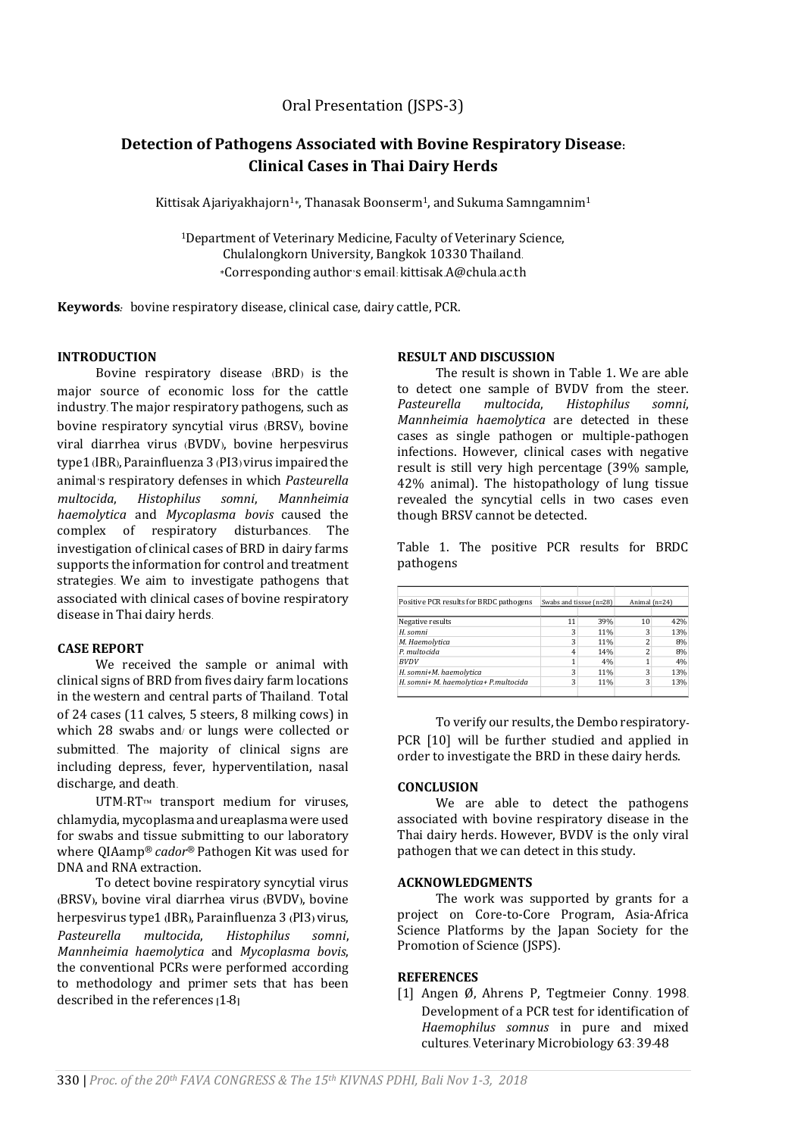Oral Presentation (JSPS-3)

# **Detection of Pathogens Associated with Bovine Respiratory Disease: Clinical Cases in Thai Dairy Herds**

Kittisak Ajariyakhajorn<sup>1</sup>\*, Thanasak Boonserm<sup>1</sup>, and Sukuma Samngamnim<sup>1</sup>

<sup>1</sup>Department of Veterinary Medicine, Faculty of Veterinary Science, Chulalongkorn University, Bangkok 10330 Thailand. \*Corresponding author's email: kittisak.A@chula.ac.th

**Keywords***:* bovine respiratory disease, clinical case, dairy cattle, PCR.

## **INTRODUCTION**

Bovine respiratory disease (BRD) is the major source of economic loss for the cattle industry. The major respiratory pathogens, such as bovine respiratory syncytial virus (BRSV), bovine viral diarrhea virus (BVDV), bovine herpesvirus type1(IBR), Parainfluenza 3 (PI3)virus impaired the animal's respiratory defenses in which *Pasteurella multocida*, *Histophilus somni*, *Mannheimia haemolytica* and *Mycoplasma bovis* caused the complex of respiratory disturbances. The investigation of clinical cases of BRD in dairy farms supports the information for control and treatment strategies. We aim to investigate pathogens that associated with clinical cases of bovine respiratory disease in Thai dairy herds.

## **CASE REPORT**

We received the sample or animal with clinical signs of BRD from fives dairy farm locations in the western and central parts of Thailand. Total of 24 cases (11 calves, 5 steers, 8 milking cows) in which 28 swabs and/ or lungs were collected or submitted. The majority of clinical signs are including depress, fever, hyperventilation, nasal discharge, and death.

UTM-RT™ transport medium for viruses, chlamydia, mycoplasma and ureaplasma were used for swabs and tissue submitting to our laboratory where QIAamp® *cador*® Pathogen Kit was used for DNA and RNA extraction.

To detect bovine respiratory syncytial virus **(**BRSV**)**, bovine viral diarrhea virus **(**BVDV**)**, bovine herpesvirus type1 **(**IBR**)**, Parainfluenza 3 **(**PI3**)** virus, *Pasteurella multocida*, *Histophilus somni*, *Mannheimia haemolytica* and *Mycoplasma bovis*, the conventional PCRs were performed according to methodology and primer sets that has been described in the references **[**1**-**8**]**

### **RESULT AND DISCUSSION**

The result is shown in Table 1. We are able to detect one sample of BVDV from the steer. *Pasteurella multocida*, *Histophilus somni*, *Mannheimia haemolytica* are detected in these cases as single pathogen or multiple-pathogen infections. However, clinical cases with negative result is still very high percentage (39% sample, 42% animal). The histopathology of lung tissue revealed the syncytial cells in two cases even though BRSV cannot be detected.

Table 1. The positive PCR results for BRDC pathogens

| Positive PCR results for BRDC pathogens | Swabs and tissue (n=28) |     | Animal (n=24) |     |
|-----------------------------------------|-------------------------|-----|---------------|-----|
|                                         |                         |     |               |     |
| Negative results                        | 11                      | 39% | 10            | 42% |
| H. somni                                |                         | 11% |               | 13% |
| M. Haemolytica                          | 3                       | 11% |               | 8%  |
| P. multocida                            | 4                       | 14% |               | 8%  |
| <b>BVDV</b>                             |                         | 4%  |               | 4%  |
| H. somni+M. haemolytica                 | 3                       | 11% |               | 13% |
| H. somni+ M. haemolytica+ P.multocida   | 3                       | 11% | 3             | 13% |
|                                         |                         |     |               |     |

To verify our results, the Dembo respiratory**-**PCR [10] will be further studied and applied in order to investigate the BRD in these dairy herds.

### **CONCLUSION**

We are able to detect the pathogens associated with bovine respiratory disease in the Thai dairy herds. However, BVDV is the only viral pathogen that we can detect in this study.

#### **ACKNOWLEDGMENTS**

The work was supported by grants for a project on Core-to-Core Program, Asia-Africa Science Platforms by the Japan Society for the Promotion of Science (JSPS).

#### **REFERENCES**

[1] Angen Ø, Ahrens P, Tegtmeier Conny. 1998. Development of a PCR test for identification of *Haemophilus somnus* in pure and mixed cultures. Veterinary Microbiology 63: 39-48